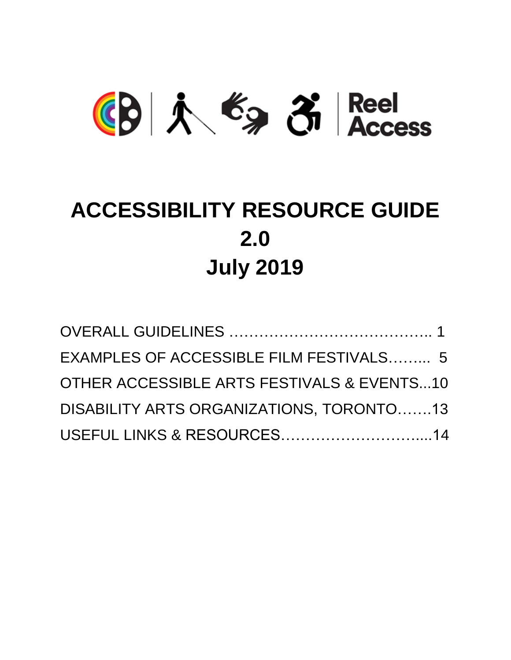# (B) 入 台 子 Reel

### **ACCESSIBILITY RESOURCE GUIDE 2.0 July 2019**

| EXAMPLES OF ACCESSIBLE FILM FESTIVALS 5    |  |
|--------------------------------------------|--|
| OTHER ACCESSIBLE ARTS FESTIVALS & EVENTS10 |  |
| DISABILITY ARTS ORGANIZATIONS, TORONTO13   |  |
| USEFUL LINKS & RESOURCES14                 |  |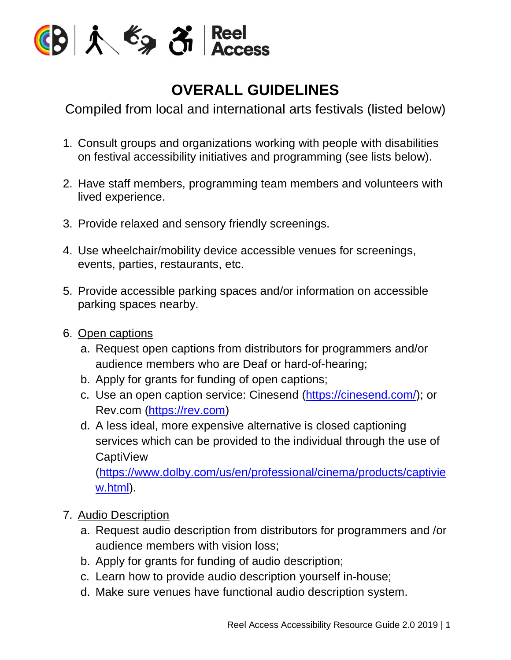

#### **OVERALL GUIDELINES**

Compiled from local and international arts festivals (listed below)

- 1. Consult groups and organizations working with people with disabilities on festival accessibility initiatives and programming (see lists below).
- 2. Have staff members, programming team members and volunteers with lived experience.
- 3. Provide relaxed and sensory friendly screenings.
- 4. Use wheelchair/mobility device accessible venues for screenings, events, parties, restaurants, etc.
- 5. Provide accessible parking spaces and/or information on accessible parking spaces nearby.
- 6. Open captions
	- a. Request open captions from distributors for programmers and/or audience members who are Deaf or hard-of-hearing;
	- b. Apply for grants for funding of open captions;
	- c. Use an open caption service: Cinesend [\(https://cinesend.com/\)](https://cinesend.com/); or Rev.com [\(https://rev.com\)](https://rev.com/)
	- d. A less ideal, more expensive alternative is closed captioning services which can be provided to the individual through the use of CaptiView

[\(https://www.dolby.com/us/en/professional/cinema/products/captivie](https://www.dolby.com/us/en/professional/cinema/products/captiview.html) [w.html\)](https://www.dolby.com/us/en/professional/cinema/products/captiview.html).

- 7. Audio Description
	- a. Request audio description from distributors for programmers and /or audience members with vision loss;
	- b. Apply for grants for funding of audio description;
	- c. Learn how to provide audio description yourself in-house;
	- d. Make sure venues have functional audio description system.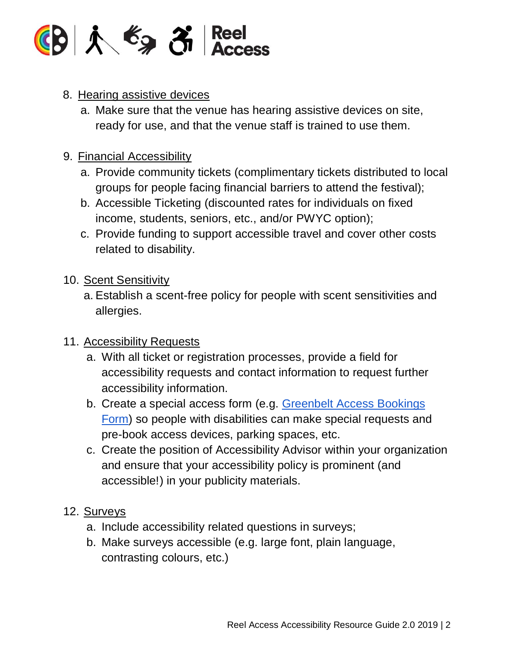

#### 8. Hearing assistive devices

a. Make sure that the venue has hearing assistive devices on site, ready for use, and that the venue staff is trained to use them.

#### 9. Financial Accessibility

- a. Provide community tickets (complimentary tickets distributed to local groups for people facing financial barriers to attend the festival);
- b. Accessible Ticketing (discounted rates for individuals on fixed income, students, seniors, etc., and/or PWYC option);
- c. Provide funding to support accessible travel and cover other costs related to disability.

#### 10. Scent Sensitivity

a. Establish a scent-free policy for people with scent sensitivities and allergies.

#### 11. Accessibility Requests

- a. With all ticket or registration processes, provide a field for accessibility requests and contact information to request further accessibility information.
- b. Create a special access form (e.g. [Greenbelt](https://docs.google.com/forms/d/e/1FAIpQLSfKdsAc2Q9c8X8XNpnEzSa04wdVapZPUjCrCA0_wGt5QrRWQg/viewform?c=0&w=1) Access Bookings [Form\)](https://docs.google.com/forms/d/e/1FAIpQLSfKdsAc2Q9c8X8XNpnEzSa04wdVapZPUjCrCA0_wGt5QrRWQg/viewform?c=0&w=1) so people with disabilities can make special requests and pre-book access devices, parking spaces, etc.
- c. Create the position of Accessibility Advisor within your organization and ensure that your accessibility policy is prominent (and accessible!) in your publicity materials.

#### 12. Surveys

- a. Include accessibility related questions in surveys;
- b. Make surveys accessible (e.g. large font, plain language, contrasting colours, etc.)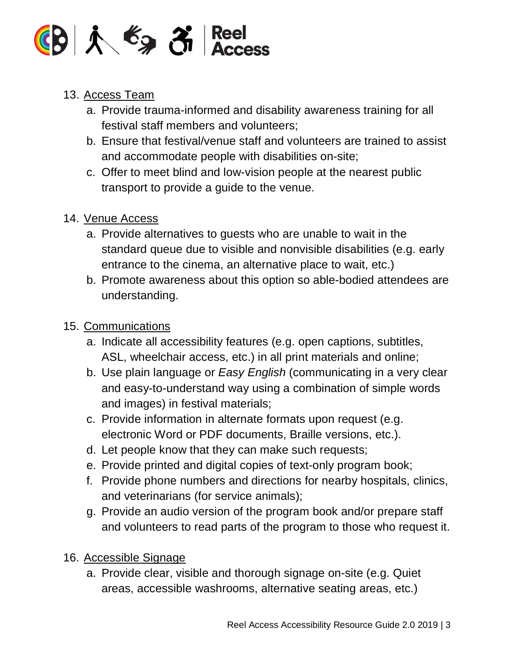

#### 13. Access Team

- a. Provide trauma-informed and disability awareness training for all festival staff members and volunteers;
- b. Ensure that festival/venue staff and volunteers are trained to assist and accommodate people with disabilities on-site;
- c. Offer to meet blind and low-vision people at the nearest public transport to provide a guide to the venue.

#### 14. Venue Access

- a. Provide alternatives to guests who are unable to wait in the standard queue due to visible and nonvisible disabilities (e.g. early entrance to the cinema, an alternative place to wait, etc.)
- b. Promote awareness about this option so able-bodied attendees are understanding.

#### 15. Communications

- a. Indicate all accessibility features (e.g. open captions, subtitles, ASL, wheelchair access, etc.) in all print materials and online;
- b. Use plain language or *Easy English* (communicating in a very clear and easy-to-understand way using a combination of simple words and images) in festival materials;
- c. Provide information in alternate formats upon request (e.g. electronic Word or PDF documents, Braille versions, etc.).
- d. Let people know that they can make such requests;
- e. Provide printed and digital copies of text-only program book;
- f. Provide phone numbers and directions for nearby hospitals, clinics, and veterinarians (for service animals);
- g. Provide an audio version of the program book and/or prepare staff and volunteers to read parts of the program to those who request it.
- 16. Accessible Signage
	- a. Provide clear, visible and thorough signage on-site (e.g. Quiet areas, accessible washrooms, alternative seating areas, etc.)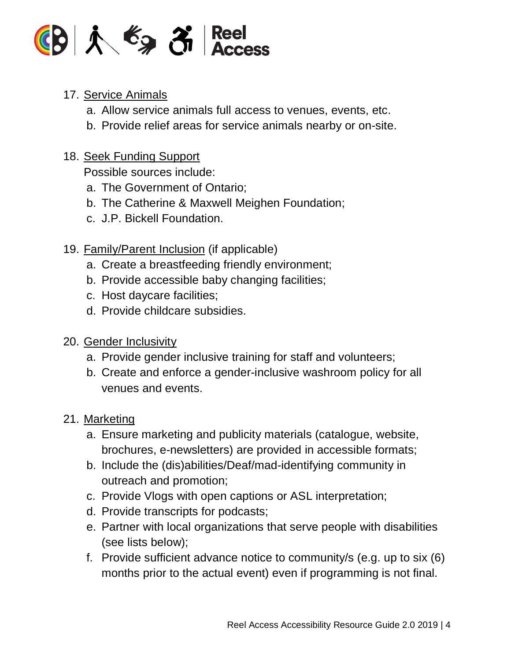

#### 17. Service Animals

- a. Allow service animals full access to venues, events, etc.
- b. Provide relief areas for service animals nearby or on-site.

#### 18. Seek Funding Support

Possible sources include:

- a. The Government of Ontario;
- b. The Catherine & Maxwell Meighen Foundation;
- c. J.P. Bickell Foundation.

#### 19. **Family/Parent Inclusion** (if applicable)

- a. Create a breastfeeding friendly environment;
- b. Provide accessible baby changing facilities;
- c. Host daycare facilities;
- d. Provide childcare subsidies.

#### 20. Gender Inclusivity

- a. Provide gender inclusive training for staff and volunteers;
- b. Create and enforce a gender-inclusive washroom policy for all venues and events.

#### 21. Marketing

- a. Ensure marketing and publicity materials (catalogue, website, brochures, e-newsletters) are provided in accessible formats;
- b. Include the (dis)abilities/Deaf/mad-identifying community in outreach and promotion;
- c. Provide Vlogs with open captions or ASL interpretation;
- d. Provide transcripts for podcasts;
- e. Partner with local organizations that serve people with disabilities (see lists below);
- f. Provide sufficient advance notice to community/s (e.g. up to six (6) months prior to the actual event) even if programming is not final.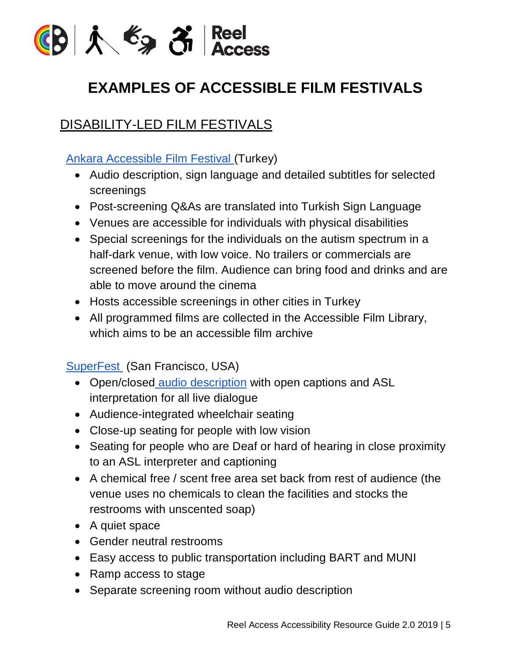

#### **EXAMPLES OF ACCESSIBLE FILM FESTIVALS**

#### DISABILITY-LED FILM FESTIVALS

Ankara [Accessible](http://www.engelsizfestival.com/en/36147/WHAT-DOES-AFF-DO) Film Festival (Turkey)

- Audio description, sign language and detailed subtitles for selected screenings
- Post-screening Q&As are translated into Turkish Sign Language
- Venues are accessible for individuals with physical disabilities
- Special screenings for the individuals on the autism spectrum in a half-dark venue, with low voice. No trailers or commercials are screened before the film. Audience can bring food and drinks and are able to move around the cinema
- Hosts accessible screenings in other cities in Turkey
- All programmed films are collected in the Accessible Film Library, which aims to be an accessible film archive

SuperFest (San Francisco, USA)

- Open/closed audio [description](http://www.superfestfilm.com/audiodescription) with open captions and ASL interpretation for all live dialogue
- Audience-integrated wheelchair seating
- Close-up seating for people with low vision
- Seating for people who are Deaf or hard of hearing in close proximity to an ASL interpreter and captioning
- A chemical free / scent free area set back from rest of audience (the venue uses no chemicals to clean the facilities and stocks the restrooms with unscented soap)
- A quiet space
- Gender neutral restrooms
- Easy access to public transportation including BART and MUNI
- Ramp access to stage
- Separate screening room without audio description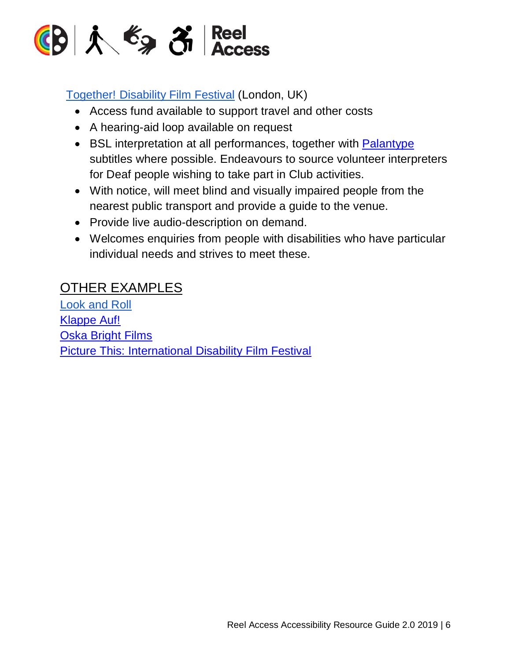

#### [Together!](http://www.together2012.org.uk/about/access/) Disability Film Festival (London, UK)

- Access fund available to support travel and other costs
- A hearing-aid loop available on request
- BSL interpretation at all performances, together with **[Palantype](https://en.oxforddictionaries.com/definition/palantype)** subtitles where possible. Endeavours to source volunteer interpreters for Deaf people wishing to take part in Club activities.
- With notice, will meet blind and visually impaired people from the nearest public transport and provide a guide to the venue.
- Provide live audio-description on demand.
- Welcomes enquiries from people with disabilities who have particular individual needs and strives to meet these.

#### OTHER EXAMPLES

[Look](https://www.lookandroll.ch/en/) and Roll [Klappe](http://www.klappeauf.at/en/) Auf! Oska [Bright](https://oskabright.org/) Films Picture This: [International](https://www.ptff.org/) Disability Film Festival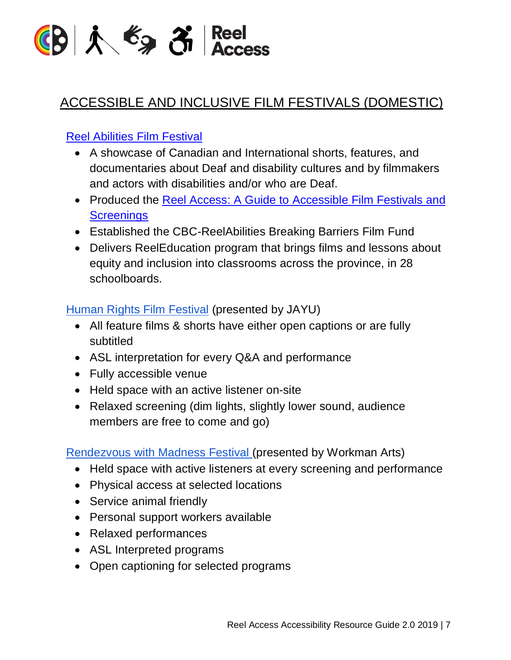

#### ACCESSIBLE AND INCLUSIVE FILM FESTIVALS (DOMESTIC)

#### Reel Abilities Film [Festival](https://reelabilities.org/toronto/)

- A showcase of Canadian and International shorts, features, and documentaries about Deaf and disability cultures and by filmmakers and actors with disabilities and/or who are Deaf.
- Produced the Reel Access: A Guide to [Accessible](http://reelabilities.org/toronto/wp-content/uploads/sites/27/2018/04/ReelAccess_Handbook_PRINT_PRESSF.pdf) Film Festivals and **[Screenings](http://reelabilities.org/toronto/wp-content/uploads/sites/27/2018/04/ReelAccess_Handbook_PRINT_PRESSF.pdf)**
- Established the CBC-ReelAbilities Breaking Barriers Film Fund
- Delivers ReelEducation program that brings films and lessons about equity and inclusion into classrooms across the province, in 28 schoolboards.

#### Human Rights Film [Festival](https://www.hrff.ca/accessibility/) (presented by JAYU)

- All feature films & shorts have either open captions or are fully subtitled
- ASL interpretation for every Q&A and performance
- Fully accessible venue
- Held space with an active listener on-site
- Relaxed screening (dim lights, slightly lower sound, audience members are free to come and go)

[Rendezvous](https://workmanarts.com/rendezvouswithmadness/rwm2018/rwm2018-accessibility/) with Madness Festival (presented by Workman Arts)

- Held space with active listeners at every screening and performance
- Physical access at selected locations
- Service animal friendly
- Personal support workers available
- Relaxed performances
- ASL Interpreted programs
- Open captioning for selected programs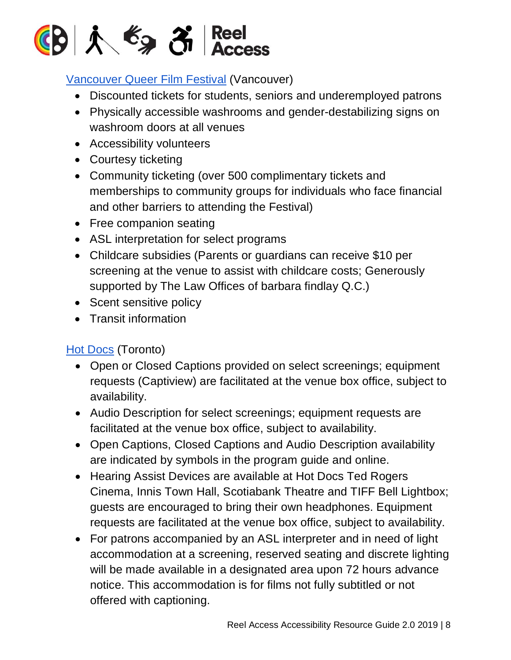

#### [Vancouver](https://queerfilmfestival.ca/venues-accessibility/) Queer Film Festival (Vancouver)

- Discounted tickets for students, seniors and underemployed patrons
- Physically accessible washrooms and gender-destabilizing signs on washroom doors at all venues
- Accessibility volunteers
- Courtesy ticketing
- Community ticketing (over 500 complimentary tickets and memberships to community groups for individuals who face financial and other barriers to attending the Festival)
- Free companion seating
- ASL interpretation for select programs
- Childcare subsidies (Parents or guardians can receive \$10 per screening at the venue to assist with childcare costs; Generously supported by The Law Offices of barbara findlay Q.C.)
- Scent sensitive policy
- Transit information

#### Hot [Docs](https://www.hotdocs.ca/u/accessibility) (Toronto)

- Open or Closed Captions provided on select screenings; equipment requests (Captiview) are facilitated at the venue box office, subject to availability.
- Audio Description for select screenings; equipment requests are facilitated at the venue box office, subject to availability.
- Open Captions, Closed Captions and Audio Description availability are indicated by symbols in the program guide and online.
- Hearing Assist Devices are available at Hot Docs Ted Rogers Cinema, Innis Town Hall, Scotiabank Theatre and TIFF Bell Lightbox; guests are encouraged to bring their own headphones. Equipment requests are facilitated at the venue box office, subject to availability.
- For patrons accompanied by an ASL interpreter and in need of light accommodation at a screening, reserved seating and discrete lighting will be made available in a designated area upon 72 hours advance notice. This accommodation is for films not fully subtitled or not offered with captioning.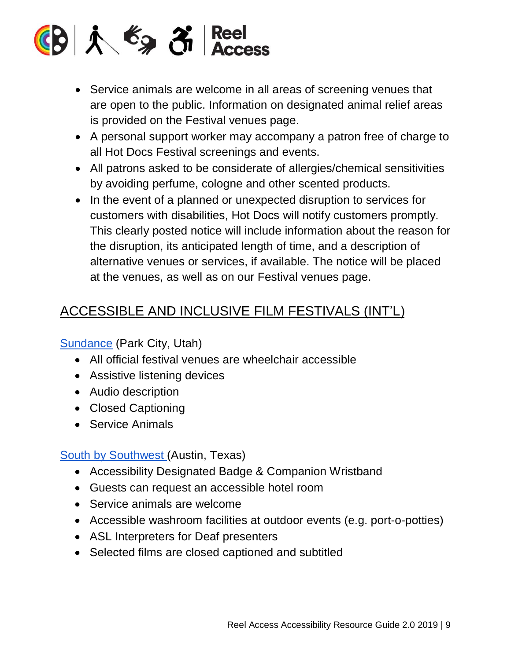

- Service animals are welcome in all areas of screening venues that are open to the public. Information on designated animal relief areas is provided on the Festival venues page.
- A personal support worker may accompany a patron free of charge to all Hot Docs Festival screenings and events.
- All patrons asked to be considerate of allergies/chemical sensitivities by avoiding perfume, cologne and other scented products.
- In the event of a planned or unexpected disruption to services for customers with disabilities, Hot Docs will notify customers promptly. This clearly posted notice will include information about the reason for the disruption, its anticipated length of time, and a description of alternative venues or services, if available. The notice will be placed at the venues, as well as on our Festival venues page.

#### ACCESSIBLE AND INCLUSIVE FILM FESTIVALS (INT'L)

[Sundance](http://www.sundance.org/festivals/sundance-film-festival/how-to-fest#accessibility) (Park City, Utah)

- All official festival venues are wheelchair accessible
- Assistive listening devices
- Audio description
- Closed Captioning
- Service Animals

#### South by [Southwest](https://www.sxsw.com/attend/accessibility/) (Austin, Texas)

- Accessibility Designated Badge & Companion Wristband
- Guests can request an accessible hotel room
- Service animals are welcome
- Accessible washroom facilities at outdoor events (e.g. port-o-potties)
- ASL Interpreters for Deaf presenters
- Selected films are closed captioned and subtitled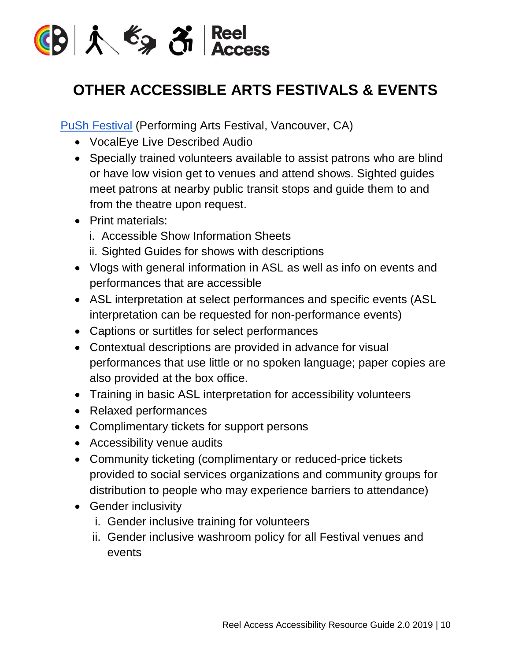

#### **OTHER ACCESSIBLE ARTS FESTIVALS & EVENTS**

PuSh [Festival](https://pushfestival.ca/festival-events/accessible-push/) (Performing Arts Festival, Vancouver, CA)

- VocalEye Live Described Audio
- Specially trained volunteers available to assist patrons who are blind or have low vision get to venues and attend shows. Sighted guides meet patrons at nearby public transit stops and guide them to and from the theatre upon request.
- Print materials:
	- i. Accessible Show Information Sheets
	- ii. Sighted Guides for shows with descriptions
- Vlogs with general information in ASL as well as info on events and performances that are accessible
- ASL interpretation at select performances and specific events (ASL interpretation can be requested for non-performance events)
- Captions or surtitles for select performances
- Contextual descriptions are provided in advance for visual performances that use little or no spoken language; paper copies are also provided at the box office.
- Training in basic ASL interpretation for accessibility volunteers
- Relaxed performances
- Complimentary tickets for support persons
- Accessibility venue audits
- Community ticketing (complimentary or reduced-price tickets provided to social services organizations and community groups for distribution to people who may experience barriers to attendance)
- Gender inclusivity
	- i. Gender inclusive training for volunteers
	- ii. Gender inclusive washroom policy for all Festival venues and events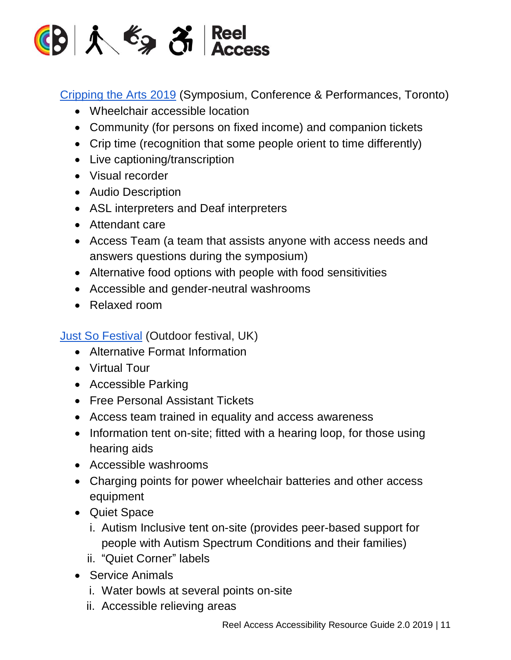

[Cripping](http://www.harbourfrontcentre.com/crippingthearts/accessibility/index.cfm) the Arts 2019 (Symposium, Conference & Performances, Toronto)

- Wheelchair accessible location
- Community (for persons on fixed income) and companion tickets
- Crip time (recognition that some people orient to time differently)
- Live captioning/transcription
- Visual recorder
- Audio Description
- ASL interpreters and Deaf interpreters
- Attendant care
- Access Team (a team that assists anyone with access needs and answers questions during the symposium)
- Alternative food options with people with food sensitivities
- Accessible and gender-neutral washrooms
- Relaxed room

Just So [Festival](https://www.justsofestival.org.uk/accessibility/) (Outdoor festival, UK)

- Alternative Format Information
- Virtual Tour
- Accessible Parking
- Free Personal Assistant Tickets
- Access team trained in equality and access awareness
- Information tent on-site; fitted with a hearing loop, for those using hearing aids
- Accessible washrooms
- Charging points for power wheelchair batteries and other access equipment
- Quiet Space
	- i. Autism Inclusive tent on-site (provides peer-based support for people with Autism Spectrum Conditions and their families)
	- ii. "Quiet Corner" labels
- Service Animals
	- i. Water bowls at several points on-site
	- ii. Accessible relieving areas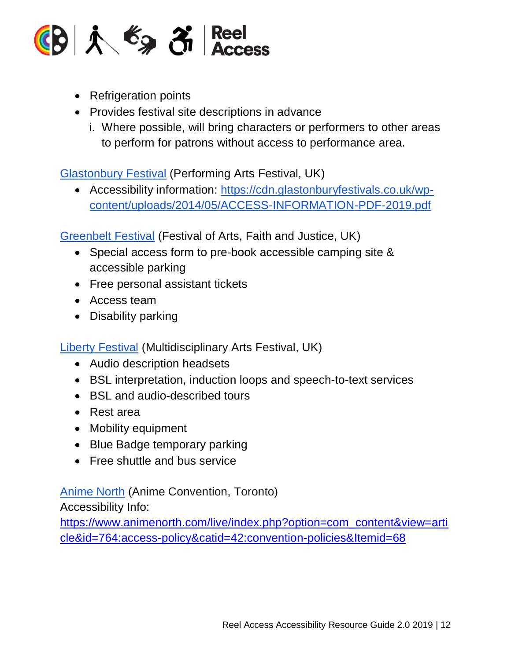

- Refrigeration points
- Provides festival site descriptions in advance
	- i. Where possible, will bring characters or performers to other areas to perform for patrons without access to performance area.

[Glastonbury](https://www.glastonburyfestivals.co.uk/information/deaf-and-disabled-info/) Festival (Performing Arts Festival, UK)

• Accessibility information: [https://cdn.glastonburyfestivals.co.uk/wp](https://cdn.glastonburyfestivals.co.uk/wp-content/uploads/2014/05/ACCESS-INFORMATION-PDF-2019.pdf)[content/uploads/2014/05/ACCESS-INFORMATION-PDF-2019.pdf](https://cdn.glastonburyfestivals.co.uk/wp-content/uploads/2014/05/ACCESS-INFORMATION-PDF-2019.pdf)

[Greenbelt](https://www.greenbelt.org.uk/info/access/) Festival (Festival of Arts, Faith and Justice, UK)

- Special access form to pre-book accessible camping site & accessible parking
- Free personal assistant tickets
- Access team
- Disability parking

Liberty [Festival](https://www.london.gov.uk/events/2017-07-15/liberty-festival) (Multidisciplinary Arts Festival, UK)

- Audio description headsets
- BSL interpretation, induction loops and speech-to-text services
- BSL and audio-described tours
- Rest area
- Mobility equipment
- Blue Badge temporary parking
- Free shuttle and bus service

[Anime](https://www.animenorth.com/live/index.php?option=com_content&view=article&id=764:access-policy&catid=42:convention-policies&Itemid=68) North (Anime Convention, Toronto)

Accessibility Info:

[https://www.animenorth.com/live/index.php?option=com\\_content&view=arti](https://www.animenorth.com/live/index.php?option=com_content&view=article&id=764:access-policy&catid=42:convention-policies&Itemid=68) [cle&id=764:access-policy&catid=42:convention-policies&Itemid=68](https://www.animenorth.com/live/index.php?option=com_content&view=article&id=764:access-policy&catid=42:convention-policies&Itemid=68)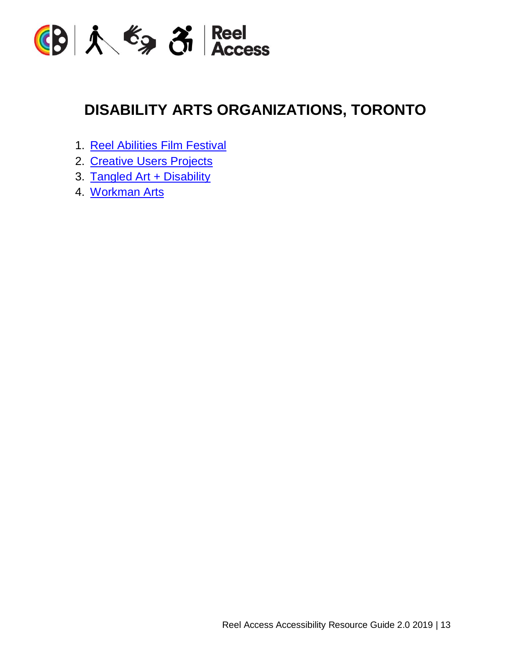

#### **DISABILITY ARTS ORGANIZATIONS, TORONTO**

- 1. Reel [Abilities](https://reelabilities.org/toronto/about/#about) Film Festival
- 2. [Creative](http://creativeusers.net/) Users Projects
- 3. Tangled Art + [Disability](http://tangledarts.org/)
- 4. [Workman](https://workmanarts.com/) Arts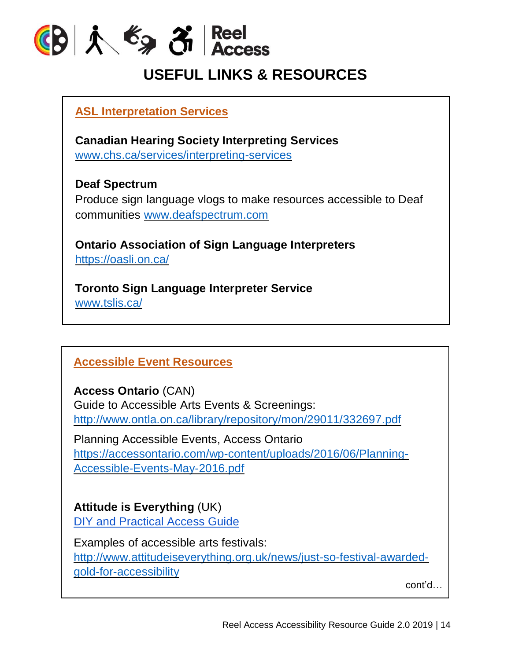

#### **USEFUL LINKS & RESOURCES**

**ASL Interpretation Services**

**Canadian Hearing Society Interpreting Services** [www.chs.ca/services/interpreting-services](https://www.chs.ca/services/interpreting-services)

**Deaf Spectrum** Produce sign language vlogs to make resources accessible to Deaf communities [www.deafspectrum.com](https://d.docs.live.net/3077743c43b5b2bc/Documents/Inside%20Out%20Grants/Projects%20-%20Programs/Reel%20Access%20Project/forum%20planning/forum%20content/www.deafspectrum.com)

**Ontario Association of Sign Language Interpreters** <https://oasli.on.ca/>

**Toronto Sign Language Interpreter Service** [www.tslis.ca/](https://www.tslis.ca/)

#### **Accessible Event Resources**

**Access Ontario** (CAN)

Guide to Accessible Arts Events & Screenings: <http://www.ontla.on.ca/library/repository/mon/29011/332697.pdf>

Planning Accessible Events, Access Ontario [https://accessontario.com/wp-content/uploads/2016/06/Planning-](https://accessontario.com/wp-content/uploads/2016/06/Planning-Accessible-Events-May-2016.pdf)[Accessible-Events-May-2016.pdf](https://accessontario.com/wp-content/uploads/2016/06/Planning-Accessible-Events-May-2016.pdf)

**Attitude is Everything** (UK) DIY and [Practical](http://www.attitudeiseverything.org.uk/resources/diy-access-guide) Access Guide

Examples of accessible arts festivals: [http://www.attitudeiseverything.org.uk/news/just-so-festival-awarded](http://www.attitudeiseverything.org.uk/news/just-so-festival-awarded-gold-for-accessibility)[gold-for-accessibility](http://www.attitudeiseverything.org.uk/news/just-so-festival-awarded-gold-for-accessibility)

cont'd…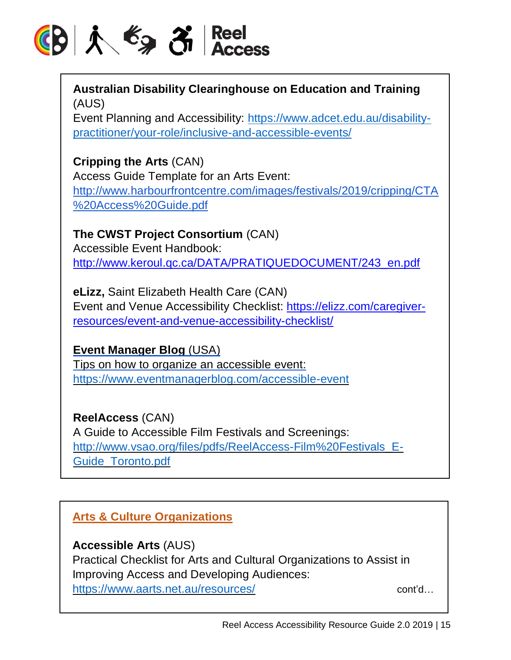## 

**Australian Disability Clearinghouse on Education and Training** (AUS)

Event Planning and Accessibility: [https://www.adcet.edu.au/disability](https://www.adcet.edu.au/disability-practitioner/your-role/inclusive-and-accessible-events/)[practitioner/your-role/inclusive-and-accessible-events/](https://www.adcet.edu.au/disability-practitioner/your-role/inclusive-and-accessible-events/)

**Cripping the Arts** (CAN) Access Guide Template for an Arts Event: [http://www.harbourfrontcentre.com/images/festivals/2019/cripping/CTA](http://www.harbourfrontcentre.com/images/festivals/2019/cripping/CTA%2520Access%2520Guide.pdf) [%20Access%20Guide.pdf](http://www.harbourfrontcentre.com/images/festivals/2019/cripping/CTA%2520Access%2520Guide.pdf)

**The CWST Project Consortium** (CAN) Accessible Event Handbook: [http://www.keroul.qc.ca/DATA/PRATIQUEDOCUMENT/243\\_en.pdf](http://www.keroul.qc.ca/DATA/PRATIQUEDOCUMENT/243_en.pdf)

**eLizz,** Saint Elizabeth Health Care (CAN) Event and Venue Accessibility Checklist: [https://elizz.com/caregiver](https://elizz.com/caregiver-resources/event-and-venue-accessibility-checklist/)[resources/event-and-venue-accessibility-checklist/](https://elizz.com/caregiver-resources/event-and-venue-accessibility-checklist/)

**Event Manager Blog** (USA) Tips on how to organize an accessible event: <https://www.eventmanagerblog.com/accessible-event>

**ReelAccess** (CAN) A Guide to Accessible Film Festivals and Screenings: [http://www.vsao.org/files/pdfs/ReelAccess-Film%20Festivals\\_E-](http://www.vsao.org/files/pdfs/ReelAccess-Film%20Festivals_E-Guide_Toronto.pdf)[Guide\\_Toronto.pdf](http://www.vsao.org/files/pdfs/ReelAccess-Film%20Festivals_E-Guide_Toronto.pdf)

**Arts & Culture Organizations**

**Accessible Arts** (AUS)

Practical Checklist for Arts and Cultural Organizations to Assist in Improving Access and Developing Audiences: <https://www.aarts.net.au/resources/> cont'd...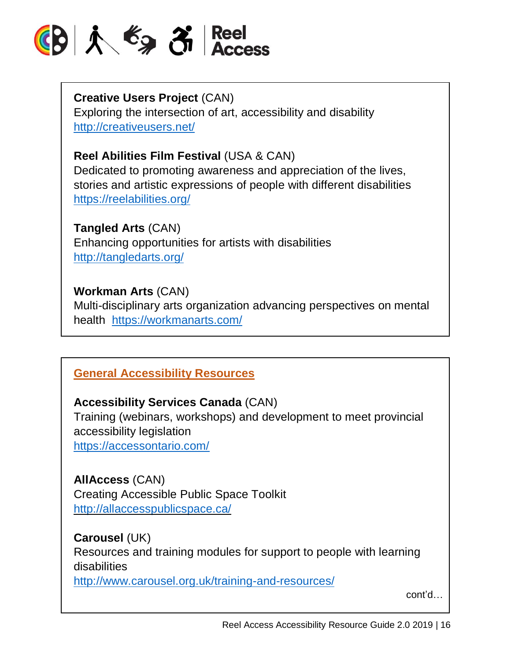

**Creative Users Project** (CAN) Exploring the intersection of art, accessibility and disability <http://creativeusers.net/>

#### **Reel Abilities Film Festival** (USA & CAN)

Dedicated to promoting awareness and appreciation of the lives, stories and artistic expressions of people with different disabilities <https://reelabilities.org/>

**Tangled Arts** (CAN)

Enhancing opportunities for artists with disabilities <http://tangledarts.org/>

#### **Workman Arts** (CAN)

Multi-disciplinary arts organization advancing perspectives on mental health <https://workmanarts.com/>

#### **General Accessibility Resources**

#### **Accessibility Services Canada** (CAN)

Training (webinars, workshops) and development to meet provincial accessibility legislation <https://accessontario.com/>

**AllAccess** (CAN) Creating Accessible Public Space Toolkit <http://allaccesspublicspace.ca/>

#### **Carousel** (UK)

Resources and training modules for support to people with learning disabilities

<http://www.carousel.org.uk/training-and-resources/>

cont'd…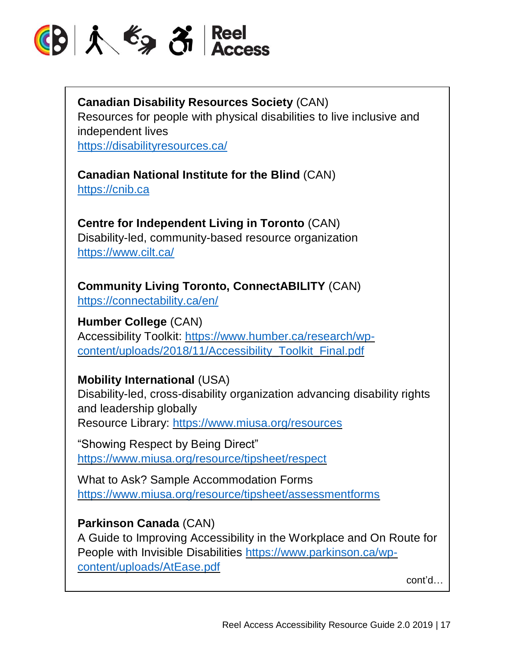

#### **Canadian Disability Resources Society** (CAN)

Resources for people with physical disabilities to live inclusive and independent lives

<https://disabilityresources.ca/>

#### **Canadian National Institute for the Blind** (CAN)

[https://cnib.ca](https://cnib.ca/)

#### **Centre for Independent Living in Toronto** (CAN) Disability-led, community-based resource organization <https://www.cilt.ca/>

**Community Living Toronto, ConnectABILITY** (CAN) <https://connectability.ca/en/>

**Humber College** (CAN) Accessibility Toolkit: [https://www.humber.ca/research/wp](https://www.humber.ca/research/wp-content/uploads/2018/11/Accessibility_Toolkit_Final.pdf)[content/uploads/2018/11/Accessibility\\_Toolkit\\_Final.pdf](https://www.humber.ca/research/wp-content/uploads/2018/11/Accessibility_Toolkit_Final.pdf)

#### **Mobility International** (USA)

Disability-led, cross-disability organization advancing disability rights and leadership globally Resource Library: <https://www.miusa.org/resources>

"Showing Respect by Being Direct" <https://www.miusa.org/resource/tipsheet/respect>

What to Ask? Sample Accommodation Forms <https://www.miusa.org/resource/tipsheet/assessmentforms>

#### **Parkinson Canada** (CAN)

A Guide to Improving Accessibility in the Workplace and On Route for People with Invisible Disabilities [https://www.parkinson.ca/wp](https://www.parkinson.ca/wp-content/uploads/AtEase.pdf)[content/uploads/AtEase.pdf](https://www.parkinson.ca/wp-content/uploads/AtEase.pdf)

cont'd…